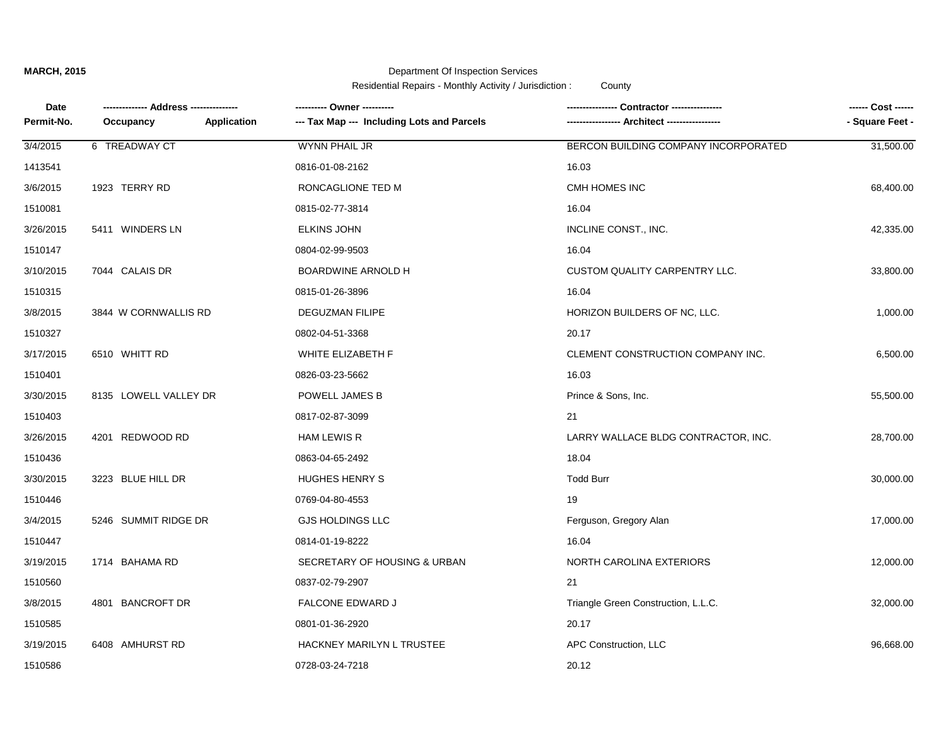## **MARCH, 2015**

## Department Of Inspection Services

Residential Repairs - Monthly Activity / Jurisdiction : County

| Date       |                       |             | ---------- Owner ----------                |                                      | ------ Cost ------ |
|------------|-----------------------|-------------|--------------------------------------------|--------------------------------------|--------------------|
| Permit-No. | Occupancy             | Application | --- Tax Map --- Including Lots and Parcels | -- Architect ---                     | - Square Feet -    |
| 3/4/2015   | 6 TREADWAY CT         |             | WYNN PHAIL JR                              | BERCON BUILDING COMPANY INCORPORATED | 31,500.00          |
| 1413541    |                       |             | 0816-01-08-2162                            | 16.03                                |                    |
| 3/6/2015   | 1923 TERRY RD         |             | RONCAGLIONE TED M                          | CMH HOMES INC                        | 68,400.00          |
| 1510081    |                       |             | 0815-02-77-3814                            | 16.04                                |                    |
| 3/26/2015  | 5411 WINDERS LN       |             | <b>ELKINS JOHN</b>                         | INCLINE CONST., INC.                 | 42,335.00          |
| 1510147    |                       |             | 0804-02-99-9503                            | 16.04                                |                    |
| 3/10/2015  | 7044 CALAIS DR        |             | BOARDWINE ARNOLD H                         | CUSTOM QUALITY CARPENTRY LLC.        | 33,800.00          |
| 1510315    |                       |             | 0815-01-26-3896                            | 16.04                                |                    |
| 3/8/2015   | 3844 W CORNWALLIS RD  |             | <b>DEGUZMAN FILIPE</b>                     | HORIZON BUILDERS OF NC, LLC.         | 1,000.00           |
| 1510327    |                       |             | 0802-04-51-3368                            | 20.17                                |                    |
| 3/17/2015  | 6510 WHITT RD         |             | WHITE ELIZABETH F                          | CLEMENT CONSTRUCTION COMPANY INC.    | 6,500.00           |
| 1510401    |                       |             | 0826-03-23-5662                            | 16.03                                |                    |
| 3/30/2015  | 8135 LOWELL VALLEY DR |             | POWELL JAMES B                             | Prince & Sons, Inc.                  | 55,500.00          |
| 1510403    |                       |             | 0817-02-87-3099                            | 21                                   |                    |
| 3/26/2015  | 4201 REDWOOD RD       |             | <b>HAM LEWIS R</b>                         | LARRY WALLACE BLDG CONTRACTOR, INC.  | 28,700.00          |
| 1510436    |                       |             | 0863-04-65-2492                            | 18.04                                |                    |
| 3/30/2015  | 3223 BLUE HILL DR     |             | <b>HUGHES HENRY S</b>                      | <b>Todd Burr</b>                     | 30,000.00          |
| 1510446    |                       |             | 0769-04-80-4553                            | 19                                   |                    |
| 3/4/2015   | 5246 SUMMIT RIDGE DR  |             | <b>GJS HOLDINGS LLC</b>                    | Ferguson, Gregory Alan               | 17,000.00          |
| 1510447    |                       |             | 0814-01-19-8222                            | 16.04                                |                    |
| 3/19/2015  | 1714 BAHAMA RD        |             | SECRETARY OF HOUSING & URBAN               | NORTH CAROLINA EXTERIORS             | 12,000.00          |
| 1510560    |                       |             | 0837-02-79-2907                            | 21                                   |                    |
| 3/8/2015   | 4801 BANCROFT DR      |             | FALCONE EDWARD J                           | Triangle Green Construction, L.L.C.  | 32,000.00          |
| 1510585    |                       |             | 0801-01-36-2920                            | 20.17                                |                    |
| 3/19/2015  | 6408 AMHURST RD       |             | HACKNEY MARILYN L TRUSTEE                  | APC Construction, LLC                | 96,668.00          |
| 1510586    |                       |             | 0728-03-24-7218                            | 20.12                                |                    |